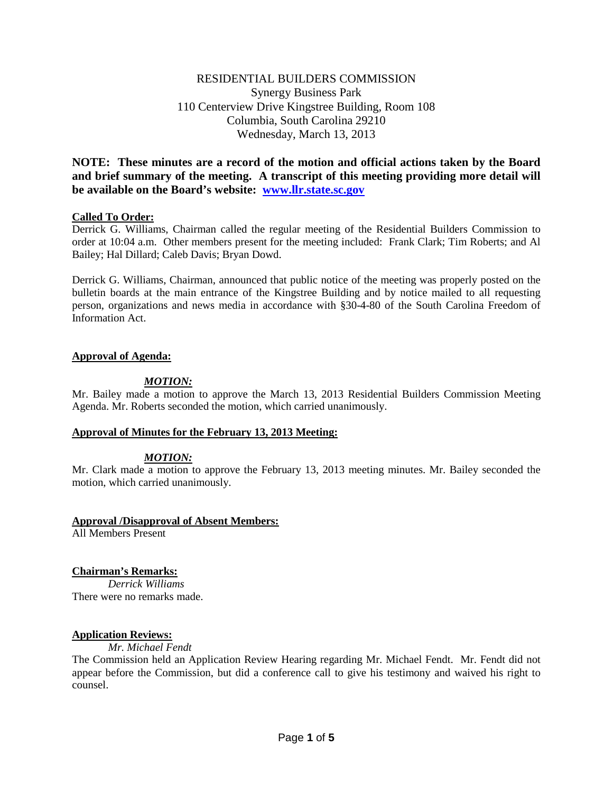# RESIDENTIAL BUILDERS COMMISSION Synergy Business Park 110 Centerview Drive Kingstree Building, Room 108 Columbia, South Carolina 29210 Wednesday, March 13, 2013

**NOTE: These minutes are a record of the motion and official actions taken by the Board and brief summary of the meeting. A transcript of this meeting providing more detail will be available on the Board's website: [www.llr.state.sc.gov](http://www.llr.state.sc.gov/)**

## **Called To Order:**

Derrick G. Williams, Chairman called the regular meeting of the Residential Builders Commission to order at 10:04 a.m. Other members present for the meeting included: Frank Clark; Tim Roberts; and Al Bailey; Hal Dillard; Caleb Davis; Bryan Dowd.

Derrick G. Williams, Chairman, announced that public notice of the meeting was properly posted on the bulletin boards at the main entrance of the Kingstree Building and by notice mailed to all requesting person, organizations and news media in accordance with §30-4-80 of the South Carolina Freedom of Information Act.

## **Approval of Agenda:**

## *MOTION:*

Mr. Bailey made a motion to approve the March 13, 2013 Residential Builders Commission Meeting Agenda. Mr. Roberts seconded the motion, which carried unanimously.

## **Approval of Minutes for the February 13, 2013 Meeting:**

# *MOTION:*

Mr. Clark made a motion to approve the February 13, 2013 meeting minutes. Mr. Bailey seconded the motion, which carried unanimously.

## **Approval /Disapproval of Absent Members:**

All Members Present

# **Chairman's Remarks:**

*Derrick Williams* There were no remarks made.

## **Application Reviews:**

*Mr. Michael Fendt*

The Commission held an Application Review Hearing regarding Mr. Michael Fendt. Mr. Fendt did not appear before the Commission, but did a conference call to give his testimony and waived his right to counsel.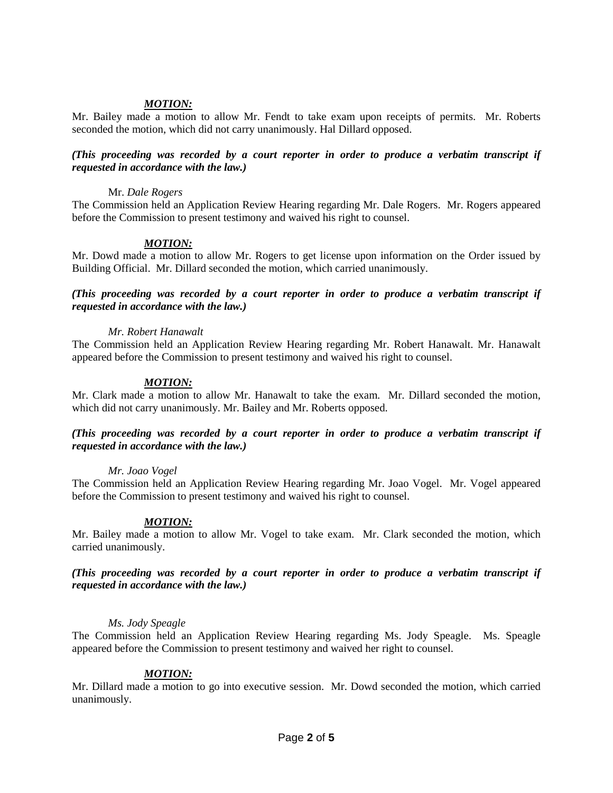# *MOTION:*

Mr. Bailey made a motion to allow Mr. Fendt to take exam upon receipts of permits. Mr. Roberts seconded the motion, which did not carry unanimously. Hal Dillard opposed.

## *(This proceeding was recorded by a court reporter in order to produce a verbatim transcript if requested in accordance with the law.)*

### Mr. *Dale Rogers*

The Commission held an Application Review Hearing regarding Mr. Dale Rogers. Mr. Rogers appeared before the Commission to present testimony and waived his right to counsel.

### *MOTION:*

Mr. Dowd made a motion to allow Mr. Rogers to get license upon information on the Order issued by Building Official. Mr. Dillard seconded the motion, which carried unanimously.

### *(This proceeding was recorded by a court reporter in order to produce a verbatim transcript if requested in accordance with the law.)*

### *Mr. Robert Hanawalt*

The Commission held an Application Review Hearing regarding Mr. Robert Hanawalt. Mr. Hanawalt appeared before the Commission to present testimony and waived his right to counsel.

### *MOTION:*

Mr. Clark made a motion to allow Mr. Hanawalt to take the exam. Mr. Dillard seconded the motion, which did not carry unanimously. Mr. Bailey and Mr. Roberts opposed.

## *(This proceeding was recorded by a court reporter in order to produce a verbatim transcript if requested in accordance with the law.)*

#### *Mr. Joao Vogel*

The Commission held an Application Review Hearing regarding Mr. Joao Vogel. Mr. Vogel appeared before the Commission to present testimony and waived his right to counsel.

#### *MOTION:*

Mr. Bailey made a motion to allow Mr. Vogel to take exam. Mr. Clark seconded the motion, which carried unanimously.

## *(This proceeding was recorded by a court reporter in order to produce a verbatim transcript if requested in accordance with the law.)*

#### *Ms. Jody Speagle*

The Commission held an Application Review Hearing regarding Ms. Jody Speagle. Ms. Speagle appeared before the Commission to present testimony and waived her right to counsel.

## *MOTION:*

Mr. Dillard made a motion to go into executive session. Mr. Dowd seconded the motion, which carried unanimously.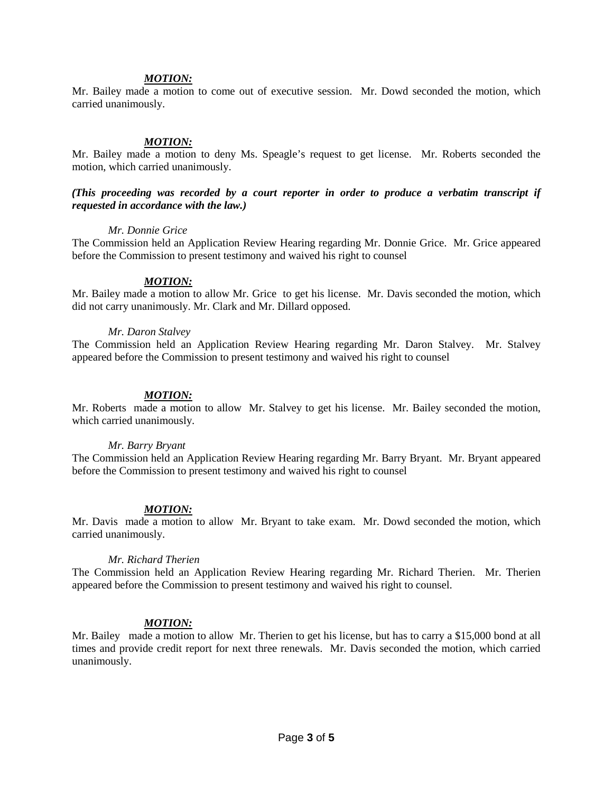#### *MOTION:*

Mr. Bailey made a motion to come out of executive session. Mr. Dowd seconded the motion, which carried unanimously.

### *MOTION:*

Mr. Bailey made a motion to deny Ms. Speagle's request to get license. Mr. Roberts seconded the motion, which carried unanimously.

### *(This proceeding was recorded by a court reporter in order to produce a verbatim transcript if requested in accordance with the law.)*

### *Mr. Donnie Grice*

The Commission held an Application Review Hearing regarding Mr. Donnie Grice. Mr. Grice appeared before the Commission to present testimony and waived his right to counsel

### *MOTION:*

Mr. Bailey made a motion to allow Mr. Grice to get his license. Mr. Davis seconded the motion, which did not carry unanimously. Mr. Clark and Mr. Dillard opposed.

#### *Mr. Daron Stalvey*

The Commission held an Application Review Hearing regarding Mr. Daron Stalvey. Mr. Stalvey appeared before the Commission to present testimony and waived his right to counsel

### *MOTION:*

Mr. Roberts made a motion to allow Mr. Stalvey to get his license. Mr. Bailey seconded the motion, which carried unanimously.

#### *Mr. Barry Bryant*

The Commission held an Application Review Hearing regarding Mr. Barry Bryant. Mr. Bryant appeared before the Commission to present testimony and waived his right to counsel

## *MOTION:*

Mr. Davis made a motion to allow Mr. Bryant to take exam. Mr. Dowd seconded the motion, which carried unanimously.

#### *Mr. Richard Therien*

The Commission held an Application Review Hearing regarding Mr. Richard Therien. Mr. Therien appeared before the Commission to present testimony and waived his right to counsel.

#### *MOTION:*

Mr. Bailey made a motion to allow Mr. Therien to get his license, but has to carry a \$15,000 bond at all times and provide credit report for next three renewals. Mr. Davis seconded the motion, which carried unanimously.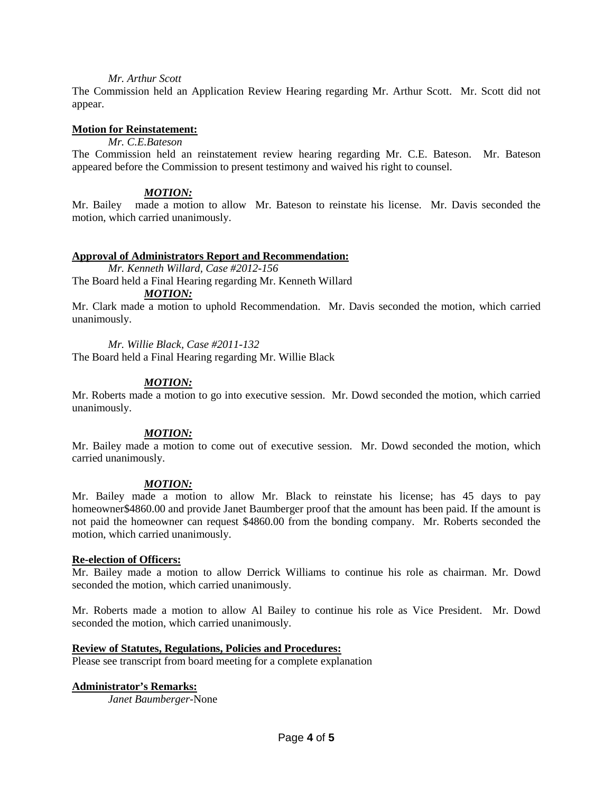### *Mr. Arthur Scott*

The Commission held an Application Review Hearing regarding Mr. Arthur Scott. Mr. Scott did not appear.

### **Motion for Reinstatement:**

*Mr. C.E.Bateson*

The Commission held an reinstatement review hearing regarding Mr. C.E. Bateson. Mr. Bateson appeared before the Commission to present testimony and waived his right to counsel.

## *MOTION:*

Mr. Bailey made a motion to allow Mr. Bateson to reinstate his license. Mr. Davis seconded the motion, which carried unanimously.

### **Approval of Administrators Report and Recommendation:**

*Mr. Kenneth Willard, Case #2012-156*

The Board held a Final Hearing regarding Mr. Kenneth Willard *MOTION:*

Mr. Clark made a motion to uphold Recommendation. Mr. Davis seconded the motion, which carried unanimously.

### *Mr. Willie Black, Case #2011-132*

The Board held a Final Hearing regarding Mr. Willie Black

## *MOTION:*

Mr. Roberts made a motion to go into executive session. Mr. Dowd seconded the motion, which carried unanimously.

## *MOTION:*

Mr. Bailey made a motion to come out of executive session. Mr. Dowd seconded the motion, which carried unanimously.

## *MOTION:*

Mr. Bailey made a motion to allow Mr. Black to reinstate his license; has 45 days to pay homeowner\$4860.00 and provide Janet Baumberger proof that the amount has been paid. If the amount is not paid the homeowner can request \$4860.00 from the bonding company. Mr. Roberts seconded the motion, which carried unanimously.

#### **Re-election of Officers:**

Mr. Bailey made a motion to allow Derrick Williams to continue his role as chairman. Mr. Dowd seconded the motion, which carried unanimously.

Mr. Roberts made a motion to allow Al Bailey to continue his role as Vice President. Mr. Dowd seconded the motion, which carried unanimously.

#### **Review of Statutes, Regulations, Policies and Procedures:**

Please see transcript from board meeting for a complete explanation

## **Administrator's Remarks:**

*Janet Baumberger-*None